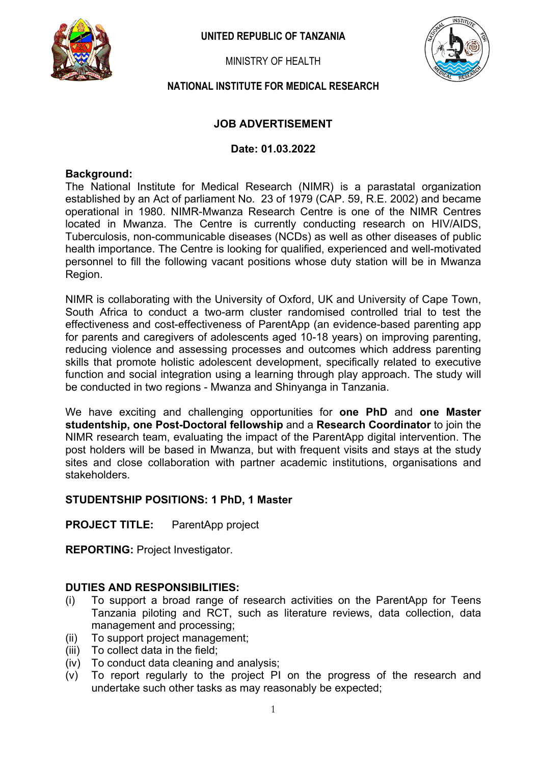

#### **UNITED REPUBLIC OF TANZANIA**

MINISTRY OF HEALTH



## **NATIONAL INSTITUTE FOR MEDICAL RESEARCH**

## **JOB ADVERTISEMENT**

#### **Date: 01.03.2022**

#### **Background:**

The National Institute for Medical Research (NIMR) is a parastatal organization established by an Act of parliament No. 23 of 1979 (CAP. 59, R.E. 2002) and became operational in 1980. NIMR-Mwanza Research Centre is one of the NIMR Centres located in Mwanza. The Centre is currently conducting research on HIV/AIDS, Tuberculosis, non-communicable diseases (NCDs) as well as other diseases of public health importance. The Centre is looking for qualified, experienced and well-motivated personnel to fill the following vacant positions whose duty station will be in Mwanza Region.

NIMR is collaborating with the University of Oxford, UK and University of Cape Town, South Africa to conduct a two-arm cluster randomised controlled trial to test the effectiveness and cost-effectiveness of ParentApp (an evidence-based parenting app for parents and caregivers of adolescents aged 10-18 years) on improving parenting, reducing violence and assessing processes and outcomes which address parenting skills that promote holistic adolescent development, specifically related to executive function and social integration using a learning through play approach. The study will be conducted in two regions - Mwanza and Shinyanga in Tanzania.

We have exciting and challenging opportunities for **one PhD** and **one Master studentship, one Post-Doctoral fellowship** and a **Research Coordinator** to join the NIMR research team, evaluating the impact of the ParentApp digital intervention. The post holders will be based in Mwanza, but with frequent visits and stays at the study sites and close collaboration with partner academic institutions, organisations and stakeholders.

## **STUDENTSHIP POSITIONS: 1 PhD, 1 Master**

**PROJECT TITLE:** ParentApp project

**REPORTING:** Project Investigator.

## **DUTIES AND RESPONSIBILITIES:**

- (i) To support a broad range of research activities on the ParentApp for Teens Tanzania piloting and RCT, such as literature reviews, data collection, data management and processing;
- (ii) To support project management;
- (iii) To collect data in the field;
- (iv) To conduct data cleaning and analysis;
- (v) To report regularly to the project PI on the progress of the research and undertake such other tasks as may reasonably be expected;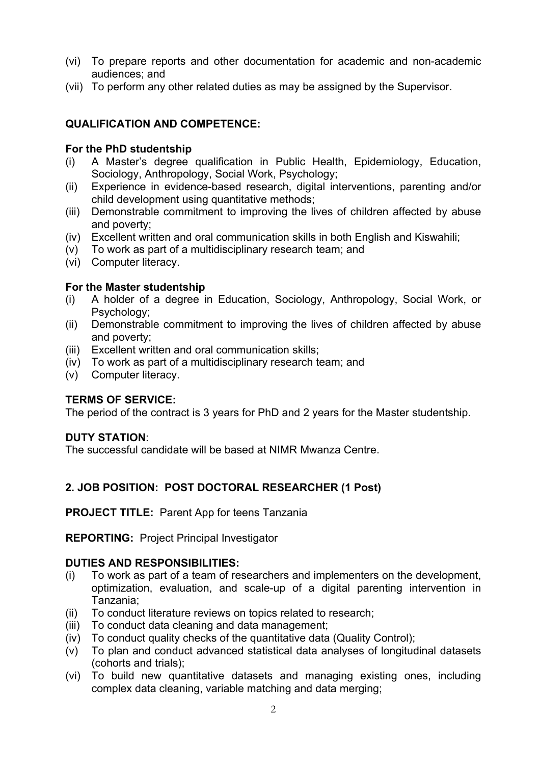- (vi) To prepare reports and other documentation for academic and non-academic audiences; and
- (vii) To perform any other related duties as may be assigned by the Supervisor.

## **QUALIFICATION AND COMPETENCE:**

#### **For the PhD studentship**

- (i) A Master's degree qualification in Public Health, Epidemiology, Education, Sociology, Anthropology, Social Work, Psychology;
- (ii) Experience in evidence-based research, digital interventions, parenting and/or child development using quantitative methods;
- (iii) Demonstrable commitment to improving the lives of children affected by abuse and poverty;
- (iv) Excellent written and oral communication skills in both English and Kiswahili;
- (v) To work as part of a multidisciplinary research team; and
- (vi) Computer literacy.

#### **For the Master studentship**

- (i) A holder of a degree in Education, Sociology, Anthropology, Social Work, or Psychology;
- (ii) Demonstrable commitment to improving the lives of children affected by abuse and poverty;
- (iii) Excellent written and oral communication skills;
- (iv) To work as part of a multidisciplinary research team; and
- (v) Computer literacy.

## **TERMS OF SERVICE:**

The period of the contract is 3 years for PhD and 2 years for the Master studentship.

#### **DUTY STATION**:

The successful candidate will be based at NIMR Mwanza Centre.

## **2. JOB POSITION: POST DOCTORAL RESEARCHER (1 Post)**

**PROJECT TITLE:** Parent App for teens Tanzania

**REPORTING:** Project Principal Investigator

#### **DUTIES AND RESPONSIBILITIES:**

- (i) To work as part of a team of researchers and implementers on the development, optimization, evaluation, and scale-up of a digital parenting intervention in Tanzania;
- (ii) To conduct literature reviews on topics related to research;
- (iii) To conduct data cleaning and data management;
- (iv) To conduct quality checks of the quantitative data (Quality Control);
- (v) To plan and conduct advanced statistical data analyses of longitudinal datasets (cohorts and trials);
- (vi) To build new quantitative datasets and managing existing ones, including complex data cleaning, variable matching and data merging;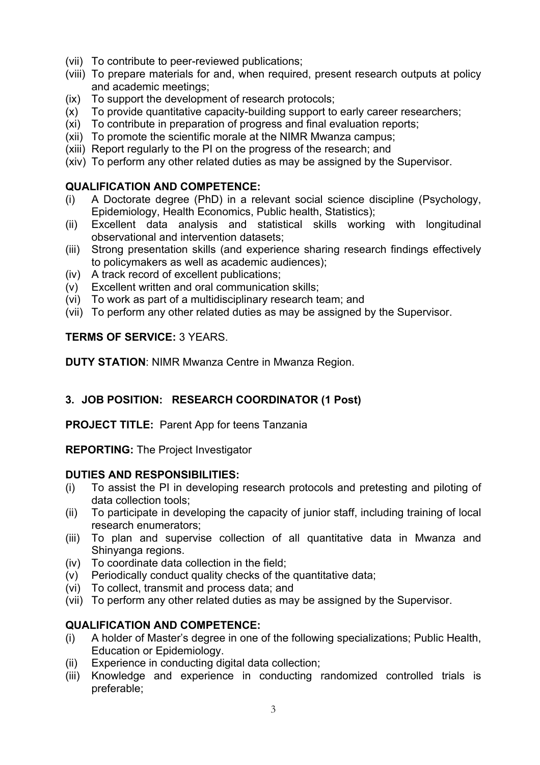- (vii) To contribute to peer-reviewed publications;
- (viii) To prepare materials for and, when required, present research outputs at policy and academic meetings;
- (ix) To support the development of research protocols;
- (x) To provide quantitative capacity-building support to early career researchers;
- (xi) To contribute in preparation of progress and final evaluation reports;
- (xii) To promote the scientific morale at the NIMR Mwanza campus;
- (xiii) Report regularly to the PI on the progress of the research; and
- (xiv) To perform any other related duties as may be assigned by the Supervisor.

# **QUALIFICATION AND COMPETENCE:**

- (i) A Doctorate degree (PhD) in a relevant social science discipline (Psychology, Epidemiology, Health Economics, Public health, Statistics);
- (ii) Excellent data analysis and statistical skills working with longitudinal observational and intervention datasets;
- (iii) Strong presentation skills (and experience sharing research findings effectively to policymakers as well as academic audiences);
- (iv) A track record of excellent publications;
- (v) Excellent written and oral communication skills;
- (vi) To work as part of a multidisciplinary research team; and
- (vii) To perform any other related duties as may be assigned by the Supervisor.

# **TERMS OF SERVICE:** 3 YEARS.

**DUTY STATION**: NIMR Mwanza Centre in Mwanza Region.

# **3. JOB POSITION: RESEARCH COORDINATOR (1 Post)**

**PROJECT TITLE:** Parent App for teens Tanzania

**REPORTING:** The Project Investigator

# **DUTIES AND RESPONSIBILITIES:**

- (i) To assist the PI in developing research protocols and pretesting and piloting of data collection tools;
- (ii) To participate in developing the capacity of junior staff, including training of local research enumerators;
- (iii) To plan and supervise collection of all quantitative data in Mwanza and Shinyanga regions.
- (iv) To coordinate data collection in the field;
- (v) Periodically conduct quality checks of the quantitative data;
- (vi) To collect, transmit and process data; and
- (vii) To perform any other related duties as may be assigned by the Supervisor.

# **QUALIFICATION AND COMPETENCE:**

- (i) A holder of Master's degree in one of the following specializations; Public Health, Education or Epidemiology.
- (ii) Experience in conducting digital data collection;
- (iii) Knowledge and experience in conducting randomized controlled trials is preferable;